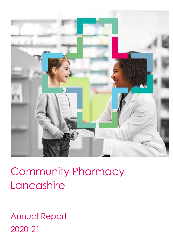

# Community Pharmacy Lancashire

Annual Report 2020-21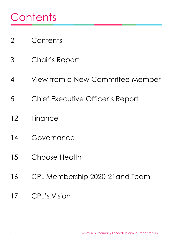# **Contents**

- Contents
- Chair's Report
- View from a New Committee Member
- Chief Executive Officer's Report
- Finance
- Governance
- Choose Health
- CPL Membership 2020-21and Team
- CPL's Vision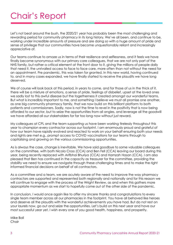### Chair's Report

Let's not beat around the bush, the 2020/21 year has probably been the most challenging and rewarding period for community pharmacy in its long history. We've all been, and continue to be, working under incredible amounts of pressure and are doing so with a huge amount of pride and sense of privilege that our communities have become unquestionably reliant and increasingly appreciative of.

Our teams continue to amaze us in terms of their resilience and selflessness, and it feels we have finally become synonymous with our primary care colleagues, that we are not only part of the NHS family, but rather a critical element at the front door to it, giving the millions of people daily that need it, the unrivalled access to face to face care, more often than not without the need for an appointment. Pre pandemic, this was taken for granted. In this new world, having continued to, and in many cases expanded, we have finally started to receive the plaudits we have long deserved.

We of course will look back at this period, in years to come, and for those of us in the thick of it, there will be a mixture of emotions, a sense of pride, feelings of disbelief, upset at the loved ones we sadly lost to this awful disease but the togetherness it created amongst our wonderful teams. But what is incredibly important to me, and something I believe we must all promise one another, as one big community pharmacy family, that we now build on this brilliant platform to both patients and commissioners. Sadly, now is not the time to revel in the positivity that is now being afforded to our sector, but to seize the opportunities from all angles, and leverage all the goodwill we have afforded all our stakeholders for far too long now without just reward.

My colleagues at CPL and the team supporting us have been working tirelessly throughout this year to champion every contractor across our footprint. I am enormously proud and grateful of how our team have rapidly evolved and reacted to work on your behalf ensuring both your needs and rights are met e.g., prompt access to COVID vaccinations for our teams through to capitalising and growing on the various commissioning opportunities.

As is always the case, change is inevitable. We have said goodbye to some valuable colleagues on the committee, with both Nicola Cross (CCA) and Ben Fell (CCA) leaving our board during this year, being recently replaced with Arifbhai Bhuriya (CCA) and Hamzah Hasan (CCA). I am also pleased that Ben has continued in the capacity as treasurer for the committee, providing the stability we need to ensure we navigate through these challenging times and to make the right informed financial decisions on behalf of all contractors.

As a committee and a team, we are acutely aware of the need to improve the way pharmacy contractors are supported and represented both regionally and nationally and for this reason we will continue to engage with the process of the Wright Review, as and when this gathers more appropriate momentum as we start to hopefully come out of the other side of the pandemic.

In conclusion, I would once again like to offer my sincere thanks and congratulations to every single team member across all our pharmacies in the footprint. You have all behaved like heroes and deserve all the plaudits with the wonderful achievements you have had. But do not rest on your laurels now, go out and seize the opportunities. Let's build on this next year and have our most successful year yet. I wish every one of you good health, happiness, and prosperity.

Mike Ball Chair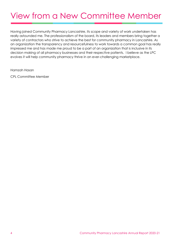### View from a New Committee Member

Having joined Community Pharmacy Lancashire, its scope and variety of work undertaken has really astounded me. The professionalism of the board, its leaders and members bring together a variety of contractors who strive to achieve the best for community pharmacy in Lancashire. As an organization the transparency and resourcefulness to work towards a common goal has really impressed me and has made me proud to be a part of an organization that is inclusive in its decision making of all pharmacy businesses and their respective patients. I believe as the LPC evolves it will help community pharmacy thrive in an ever-challenging marketplace.

Hamzah Hasan

CPL Committee Member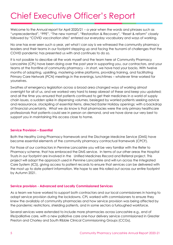### Chief Executive Officer's Report

Welcome to the Annual report for April 2020/21 – a year when the words and phrases such as "unprecedented", "PPE", "The new normal", "Restoration & Recovery", "Reset & reform" closely followed by "COVID vaccination sites" entered our everyday vocabulary and ways of working.

No one has ever seen such a year, yet what I can say is we witnessed the community pharmacy leaders and their teams in our footprint stepping up and facing the tsunami of challenges that the COVID pandemic has presented us with and continues to do so.

It is not possible to describe all the work myself and the team here at Community Pharmacy Lancashire (CPL) have been doing over the past year in supporting you, our contractors, and your teams at the frontline of community pharmacy – in short, we have had your backs. With twelve months of adapting, upskilling, mastering online platforms, providing training, and facilitating Primary Care Network (PCN) meetings in the evenings, lunchtimes – whatever time worked for yourselves.

Swathes of emergency legislation across a broad area changed ways of working almost overnight for all of us, and we worked very hard to keep abreast of these and keep you updated; and all the time you ensured that patients continued to get their medicines in a world of supply chain issues, a sudden spike in dispensing volumes, besieged by worried patients seeking advice and reassurance, stockpiling of essential items, directed Easter Holiday openings; with a backdrop of financial uncertainty. What we do know is that pharmacies were the only primary healthcare professionals that patients could see in person on demand, and we have done our very best to support you in maintaining this access close to home.

#### **Service Provision – Essential**

Both the Healthy Living Pharmacy framework and the Discharge Medicine Service (DMS) have become essential elements of the community pharmacy contractual framework (CPCF).

For those of our contractors in Pennine Lancashire you will be very familiar with the Refer to Pharmacy scheme, that has embraced the DMS service. In terms of our other areas the Hospital Trusts in our footprint are involved in the Unified Medicines Record and Referral project. This project will adopt the approach used in Pennine Lancashire and will run across the Integrated Care System (ICS), giving access to patient records to ensure that services can be delivered with the most up to date patient information. We hope to see this rolled out across our entire footprint by Autumn 2021.

#### **Service provision - Advanced and Locally Commissioned Services**

As a team we have worked to support both contractors and our local commissioners in having to adapt service provision during the lockdowns. CPL worked with commissioners to ensure they knew the availably of community pharmacies and how service provision was being affected by the pandemic restrictions, shielding patients, and in some sectors a furloughed workforce.

Several services were extended to include more pharmacies across Lancashire e.g., end of life/palliative care, with a new palliative care one-hour delivery service commissioned in Greater Preston and Chorley and South Ribble Clinical Commissioning Groups (CCGs).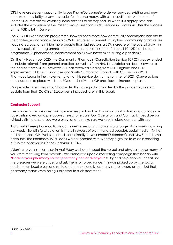CPL have used every opportunity to use PharmOutcomes® to deliver services, existing and new, to make accessibility to services easier for the pharmacy, with clear audit trails. At the end of March 2021, we are still awaiting some services to be stepped up when it is appropriate, this includes the expansion of the Patient Group Direction (PGD) service in Blackburn after the success of the PGD pilot in Darwen.

The 20/21 flu vaccination programme showed once more how community pharmacies can rise to the challenge and vaccinate in a COVID secure environment. In England community pharmacies vaccinated over one million more people than last season, a 25% increase of the overall growth in the flu vaccination programme – far more than our usual share of around  $10-12\%$  1 of the total programme. A phenomenal achievement on its own never mind during a pandemic.

On the 1st November 2020, the Community Pharmacist Consultation Service (CPCS) was extended to include referrals from general practices as well as from NHS 111. Uptake has been slow up to the end of March 2021, however CPL has received funding from NHS England and NHS Improvement (NHSE&I) Lancashire and South Cumbria to support both CPL and our PCN Pharmacy Leads in the implementation of this service during the summer of 2021. Conversations continue to take place with both PCNs and individual GP practices to increase uptake.

Our provider arm company, Choose Health was equally impacted by the pandemic, and an update from their Co-Chief Executives is included later in this report.

#### **Contractor Support**

The pandemic made us rethink how we keep in touch with you our contractors, and our face-toface visits moved onto pre booked telephone calls. Our Operations and Contractor Lead began 'virtual visits' to ensure you were okay, and to make sure we kept in close contact with you.

Along with these phone calls, we continued to reach out to you via a range of channels including our weekly Bulletin (a circulation list now in excess of eight hundred people), social media - Twitter and Facebook, CPL Website, emails sent directly to your PharmOutcomes® and NHS Shared email accounts. The Pharmacy PCN Leads were supported with WhatsApp groups to assist in reaching out to the pharmacies in their individual PCNs.

Listening to your stories back in April/May we heard about the verbal and physical abuse many of you were receiving from patients. We embarked upon a marketing campaign that began with **"Care for your pharmacy so that pharmacy can care or you"** to try and help people understand the pressures we were under and ask them for forbearance. This was picked up by the social media news, local press, and radio and then nationally, as many people were astounded that pharmacy teams were being subjected to such treatment.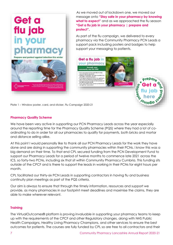

 As we moved out of lockdown one, we moved our message onto **"Stay safe in your pharmacy by knowing what to expect"** and as we approached the flu season **"Get a flu jab in your pharmacy | prepare and protect".**

As part of the flu campaign, we delivered to every pharmacy via the Community Pharmacy PCN Leads a support pack including posters and badges to help support your messaging to patients.





Plate 1 – Window poster, card, and sticker, Flu Campaign 2020-21

#### **Pharmacy Quality Scheme**

We have been very active in supporting our PCN Pharmacy Leads across the year especially around the reporting time for the Pharmacy Quality Scheme (PQS) where they had a lot of coordinating to do in order for all our pharmacies to qualify for payments, both bricks and mortar and distance selling alike.

At this point I would personally like to thank all our PCN Pharmacy Leads for the work they have done and are doing in supporting the community pharmacies within their PCNs. I know this was a big demand on their time. To that end CPL secured funding from the PCN Development Fund to support our Pharmacy Leads for a period of twelve months to commence late 2021 across the ICS, so forty-two PCNs, including six that sit within Community Pharmacy Cumbria. This funding sits outside of the CPCF and is there to support the leads in working in their PCNs for eight hours per month.

CPL facilitated our thirty-six PCN Leads in supporting contractors in having flu and business continuity plan meetings as part of the PQS criteria.

Our aim is always to ensure that through the timely information, resources and support we provide, as many pharmacies in our footprint meet deadlines and maximise the claims, they are able to make wherever relevant.

#### **Training**

The VirtualOutcomes® platform is proving invaluable in supporting your pharmacy teams to keep up with the requirements of the CPCF and other Regulatory changes, along with NHS Public Health Campaigns, Healthy Living Pharmacy Champions, and other services to ensure the best outcomes for patients. The courses are fully funded by CPL so are free to all contractors and their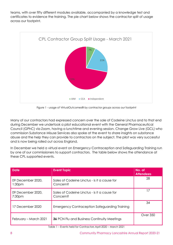teams, with over fifty different modules available, accompanied by a knowledge test and certificates to evidence the training. The pie chart below shows the contractor split of usage across our footprint.



Figure 1 - usage of VirtualOutcomes® by contractor groups across our footprint

Many of our contractors had expressed concern over the sale of Codeine Linctus and to that end during December we undertook a pilot educational event with the General Pharmaceutical Council (GPhC) via Zoom, having a lunchtime and evening session. Change Grow Live (GCL) who commission Substance Misuse Services also spoke at the event to share insights on substance abuse and the help they can provide to contractors on the subject. The pilot was very successful and is now being rolled out across England.

In December we held a virtual event on Emergency Contraception and Safeguarding Training run by one of our commissioners to support contractors. The table below shows the attendance at these CPL supported events.

| <b>Date</b>                             | <b>Event Topic</b>                                       | No. of<br><b>Attendees</b> |
|-----------------------------------------|----------------------------------------------------------|----------------------------|
| 09 December 2020,<br>1:30 <sub>pm</sub> | Sales of Codeine Linctus - is it a cause for<br>Concern? | 28                         |
| 09 December 2020,<br>7:30 <sub>pm</sub> | Sales of Codeine Linctus - is it a cause for<br>Concern? |                            |
| 17 December 2020                        | <b>Emergency Contraception Safeguarding Training</b>     | 34                         |
| February – March 2021                   | <b>36</b> PCN Flu and Business Continuity Meetings       | Over 350                   |

Table 1 – Events held for Contractors April 2020 – March 2021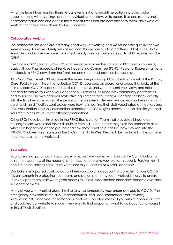What we learnt from hosting these virtual events is that a lunchtime option is proving quite popular, along with evenings, and that a virtual event allows us to record it so contractors and pharmacy teams can also access the event at times that are convenient to them. New ways of working that have been driven by the pandemic.

#### **Collaborative working**

The pandemic has accelerated many good ways of working and we found very quickly that we were working far more closely with other Local Pharmaceutical Committees (LPCs) in the North West. As a collective we have combined weekly meetings with our local NHSE&I regions and the GPhC.

The Chairs of CPL, Bolton & GM LPC and Senior Team members of each LPC meet on a weekly basis with our Pharmaceutical Services Negotiating Committee (PSNC) Regional Representative to feedback to PSNC news from the front line and share best practice between us.

At a North West level, CPL represents the seven neighbouring LPCs in the North West at the Primary Care, Public Health, Health and Justice COVID subgroup, an operational group that looks at the primary care COVID response across the North West, and we represent your views and help needed to ensure you keep your door open. Examples included how community pharmacies had to source our own personal protective equipment for our teams – feeding this back directly into the NHS hierarchy; raising the profile of the pandemic delivery service with partners in primary care, and the difficulties contractors were having in getting their staff vaccinated at the Mass and PCN vaccination sites; this intervention prompted the ICS to give access to these sites for you and your staff to ensure you were offered vaccinations.

Other LPCs have been involved in the PSNC Rapid Action Team that was established to get messages backwards and forwards quickly from PSNC in the early stages of the pandemic as to what was happening on the ground and how they could help; this has now evolved into the PSNC/LPC Operations Team and the LPCs in the North West Region take it in turns to attend these meetings, sharing the workload.

#### **Your safety**

Your safety is of paramount importance to us, and we worked with Lancashire Constabulary to raise the awareness of the needs of pharmacy, and to give you relevant support. Forgive me if I don't list those actions here – they were sent to your secure NHS email addresses.

Our bulletin signposted contractors to where you could find support for completing your COVID risk assessments in protecting your teams and patients, and my team worked tirelessly to ensure that your pharmacy staff were given access to COVID vaccinations once they became available in December 2020.

Many of you were worried about having to close temporarily your pharmacy due to COVID. The emergency provisions in the NHS (Pharmaceutical and Local Pharmaceutical Services) Regulations 2013 enabled this to happen, and we supported many of you with telephone advice and updated our website to make it very easy to find support on what to do if you found yourself in this difficult situation.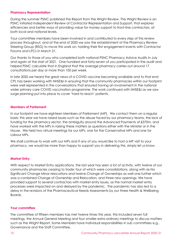#### **Pharmacy Representation**

During the summer PSNC published the Report from the Wright Review. The Wright Review is an PSNC initiated Independent Review of Contractor Representation and Support, that explores efficiencies and better ways of providing value for money support to front-line contractors, at both local and national levels.

Your committee members have been involved in and contributed to every step of this review process throughout, and at the end of 2020 we saw the establishment of the Pharmacy Review Steering Group (RSG) to move this work on, holding their first engagement events with Contractor Forums and LPCs in March 21.

Our thanks to those of you who completed both national PSNC Pharmacy Advice Audits in July and again at the start of 2021. One hundred and forty-seven of you participated in the audit and helped PSNC calculate that in England that the average pharmacy carries out around 17 consultations per day or more than 100 per week.

In late 2020 we heard the great news of a COVID vaccine becoming available and to that end CPL has been working with NHSE&I in ensuring that the community pharmacies within our footprint were well represented in the conversations that ensured having an involvement in the national wider primary care COVID vaccination programme. The work continued with NHSE&I as we saw surge planning put into place to cover 'hard to reach' patients.

#### **Members of Parliament**

In our footprint we have eighteen Members of Parliament (MP). We contact them on a regular basis; this year we have raised issues such as the abuse faced by our pharmacy teams, the lack of funding for the pharmacy sector, the ambiguity around the Advanced Payments of £370m, and have worked with the MPs in raising these matters as questions either with the Minister or in the House. We held two virtual meetings for our MPs, one for the Conservative MPs and one for Labour MPs.

We shall continue to work with our MPs and if any of you would like to host a MP visit to your pharmacy, we would be more than happy to support you in delivering this, simply let us know.

#### **Market Entry**

With respect to Market Entry applications, the last year has seen a lot of activity, with twelve of our community pharmacies ceasing to trade; four of which were consolidations, along with six No Significant Change Minor relocations and twelve Change of Ownerships as well one further which was a combined Change of Ownership and Relocation, and three new openings. We have provided support to several contractors with market entry issues, as the normal market entry processes were impacted on and delayed by the pandemic. The pandemic has also led to a delay in the revisions of the Pharmaceutical Needs Assessments by our three Health & Wellbeing Boards.

#### **Your committee**

The committee of fifteen members has met twelve times this year, this included seven full meetings, the Annual General Meeting and four smaller extra ordinary meetings to discuss matters such as the Wright Report. Some Members have individual responsibilities in sub committees e.g., Governance and the Staff Committee.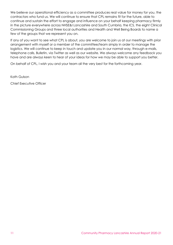We believe our operational efficiency as a committee produces real value for money for you, the contractors who fund us. We will continue to ensure that CPL remains fit for the future, able to continue and sustain the effort to engage and influence on your behalf keeping pharmacy firmly in the picture everywhere across NHSE&I Lancashire and South Cumbria, the ICS, the eight Clinical Commissioning Groups and three local authorities and Health and Well Being Boards to name a few of the groups that we represent you on.

If any of you want to see what CPL is about, you are welcome to join us at our meetings with prior arrangement with myself or a member of the committee/team simply in order to manage the logistics. We will continue to keep in touch and update you in our normal way, through e-mails, telephone calls, Bulletin, via Twitter as well as our website. We always welcome any feedback you have and are always keen to hear of your ideas for how we may be able to support you better.

On behalf of CPL, I wish you and your team all the very best for the forthcoming year.

Kath Gulson

Chief Executive Officer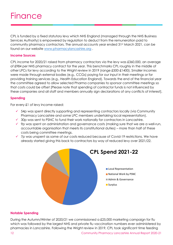CPL is funded by a fixed statutory levy which NHS England (managed through the NHS Business Services Authority) is empowered by regulation to deduct from the remuneration paid to community pharmacy contractors. The annual accounts year ended 31st March 2021, can be found on our website [www.pharmacylancashire.org](http://www.pharmacylancashire.org/) .

#### **Income Sources**

CPL income for 2020/21 raised from pharmacy contractors via the levy was £360,000, an average of £984 per NHS pharmacy contract for the year. This benchmarks CPL roughly in the middle of other LPCs for levy according to the Wright review in 2019 (range £500-£1400). Smaller incomes were made through external bodies (e.g., CCGs) paying for our input in their meetings or for providing training services (e.g., Health Education England). Towards the end of the financial year the committee agreed to allow selected Pharma companies to sponsor committee meetings so that costs could be offset [Please note that spending of contractor funds is not influenced by these companies and all staff and members annually sign declarations of any conflicts of interest].

#### **Spending**

For every £1 of levy income raised:

- $\checkmark$  54p was spent directly supporting and representing contractors locally (via Community Pharmacy Lancashire and some LPC members undertaking local representation).
- $\checkmark$  30p was sent to PSNC to fund their work nationally for contractors in Lancashire.
- $\checkmark$  9p was spent on administration and governance costs (making sure that we are a well-run, accountable organisation that meets its constitutional duties) – more than half of these costs being committee meetings.
- ✓ 7p was unspent as some of our costs reduced because of Covid-19 restrictions. We have already started giving this back to contractors by way of reduced levy over 2021/22.



#### **Notable Spending**

During the Autumn/Winter of 2020/21 we commissioned a £25,000 marketing campaign for flu which was followed by the largest NHS and private flu vaccination numbers ever administered by pharmacies in Lancashire. Following the Wright review in 2019, CPL took significant time feeding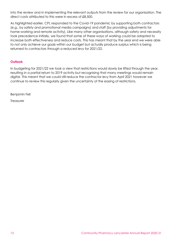into the review and in implementing the relevant outputs from the review for our organisation. The direct costs attributed to this were in excess of £8,500.

As highlighted earlier, CPL responded to the Covid-19 pandemic by supporting both contractors (e.g., by safety and promotional media campaigns) and staff (by providing adjustments for home-working and remote activity). Like many other organisations, although safety and necessity took precedence initially, we found that some of these ways of working could be adapted to increase both effectiveness and reduce costs. This has meant that by the year end we were able to not only achieve our goals within our budget but actually produce surplus which is being returned to contractors through a reduced levy for 2021/22.

#### **Outlook**

In budgeting for 2021/22 we took a view that restrictions would slowly be lifted through the year, resulting in a partial return to 2019 activity but recognising that many meetings would remain digital. This meant that we could still reduce the contractor levy from April 2021 however we continue to review this regularly given the uncertainty of the easing of restrictions.

Benjamin Fell

**Treasurer**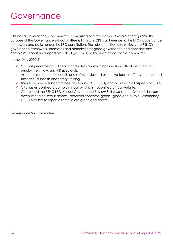CPL has a Governance subcommittee comprising of three members who meet regularly. The purpose of the Governance subcommittee is to assure CPL's adherence to the LPC's governance framework and duties under the LPC constitution. The subcommittee also reviews the PSNC's governance framework, promotes and demonstrates good governance and considers any complaints about an alleged breach of governance by any member of the committee.

Key activity 2020-21:

- ✓ CPL has performed a full health and safety review in conjunction with Ellis Whittam, our employment, law, and HR specialists.
- ✓ As a requirement of the health and safety review, all executive team staff have completed their annual health and safety training.
- ✓ The Governance subcommittee has ensured CPL is fully compliant with all aspects of GDPR.
- ✓ CPL has established a complaints policy which is published on our website.
- ✓ Completed the PSNC LPC Annual Governance Review Self-Assessment. Criteria is broken down into three levels: amber - potential concerns, green - good and purple - exemplary. CPL is pleased to report all criteria are green and above.

Governance Subcommittee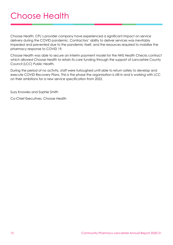Choose Health, CPL's provider company have experienced a significant impact on service delivery during the COVID pandemic. Contractors' ability to deliver services was inevitably impeded and prevented due to the pandemic itself, and the resources required to mobilise the pharmacy response to COVID 19.

Choose Health was able to secure an interim payment model for the NHS Health Checks contract which allowed Choose Health to retain its core funding through the support of Lancashire County Council (LCC) Public Health.

During the period of no activity, staff were furloughed until able to return safely to develop and execute COVID Recovery Plans. This is the phase the organisation is still in and is working with LCC on their ambitions for a new service specification from 2022.

Suzy Knowles and Sophie Smith

Co-Chief Executives, Choose Health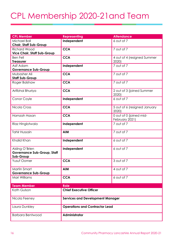### CPL Membership 2020-21and Team

| <b>CPL Member</b>                                     | <b>Representing</b>                     | <b>Attendance</b>                  |  |
|-------------------------------------------------------|-----------------------------------------|------------------------------------|--|
| Michael Ball                                          | Independent                             | 6 out of 7                         |  |
| <b>Chair, Staff Sub-Group</b>                         |                                         |                                    |  |
| <b>Richard Wood</b>                                   | <b>CCA</b>                              | 7 out of 7                         |  |
| <b>Vice Chair, Staff Sub-Group</b>                    |                                         |                                    |  |
| <b>Ben Fell</b>                                       | <b>CCA</b>                              | 4 out of 4 (resigned Summer        |  |
| <b>Treasurer</b>                                      |                                         | 2020)                              |  |
| Asif Adam                                             | Independent                             | 7 out of 7                         |  |
| <b>Governance Sub-Group</b>                           |                                         |                                    |  |
| Mubasher Ali                                          | <b>CCA</b>                              | 7 out of 7                         |  |
| <b>Staff Sub-Group</b>                                |                                         |                                    |  |
| Roger Balshaw                                         | <b>CCA</b>                              | 7 out of 7                         |  |
| Arifbhai Bhuriya                                      | <b>CCA</b>                              | 2 out of 3 (joined Summer<br>2020) |  |
| Conor Coyle                                           | Independent                             | 6 out of 7                         |  |
|                                                       |                                         |                                    |  |
| Nicola Cross                                          | <b>CCA</b>                              | 5 out of 6 (resigned January       |  |
|                                                       |                                         | 2020)                              |  |
| Hamzah Hasan                                          | <b>CCA</b>                              | 0 out of 0 (joined mid-            |  |
|                                                       |                                         | February 2021)                     |  |
| Riaz Hinglotwala                                      | Independent                             | 7 out of 7                         |  |
|                                                       |                                         |                                    |  |
| <b>Tahir Hussain</b>                                  | <b>AIM</b>                              | 7 out of 7                         |  |
|                                                       |                                         |                                    |  |
| Khalid Khan                                           | Independent                             | 6 out of 7                         |  |
|                                                       |                                         | 6 out of 7                         |  |
| Aisling O'Brien<br><b>Governance Sub-Group, Staff</b> | Independent                             |                                    |  |
| Sub-Group                                             |                                         |                                    |  |
| <b>Yusuf Oomer</b>                                    | <b>CCA</b>                              | 3 out of 7                         |  |
|                                                       |                                         |                                    |  |
| Martin Smart                                          | <b>AIM</b>                              | 4 out of 7                         |  |
| <b>Governance Sub-Group</b>                           |                                         |                                    |  |
| Mari Williams                                         | <b>CCA</b>                              | 6 out of 7                         |  |
|                                                       |                                         |                                    |  |
| <b>Team Member</b>                                    | <b>Role</b>                             |                                    |  |
| Kath Gulson                                           | <b>Chief Executive Officer</b>          |                                    |  |
|                                                       |                                         |                                    |  |
| Nicola Feeney                                         | <b>Services and Development Manager</b> |                                    |  |
|                                                       |                                         |                                    |  |
| Laura Dunkley                                         | <b>Operations and Contractor Lead</b>   |                                    |  |
|                                                       |                                         |                                    |  |
| <b>Barbara Bentwood</b>                               | Administrator                           |                                    |  |